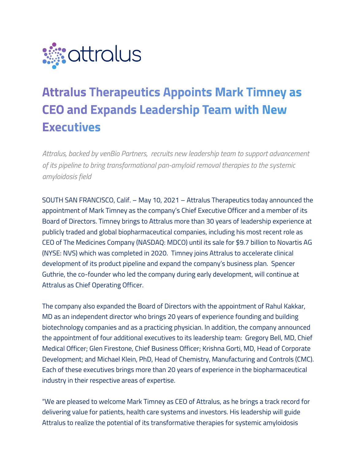

# **Attralus Therapeutics Appoints Mark Timney as CEO and Expands Leadership Team with New Executives**

*Attralus, backed by venBio Partners, recruits new leadership team to support advancement of its pipeline to bring transformational pan-amyloid removal therapies to the systemic amyloidosis field*

SOUTH SAN FRANCISCO, Calif. – May 10, 2021 – Attralus Therapeutics today announced the appointment of Mark Timney as the company's Chief Executive Officer and a member of its Board of Directors. Timney brings to Attralus more than 30 years of leadership experience at publicly traded and global biopharmaceutical companies, including his most recent role as CEO of The Medicines Company (NASDAQ: MDCO) until its sale for \$9.7 billion to Novartis AG (NYSE: NVS) which was completed in 2020. Timney joins Attralus to accelerate clinical development of its product pipeline and expand the company's business plan. Spencer Guthrie, the co-founder who led the company during early development, will continue at Attralus as Chief Operating Officer.

The company also expanded the Board of Directors with the appointment of Rahul Kakkar, MD as an independent director who brings 20 years of experience founding and building biotechnology companies and as a practicing physician. In addition, the company announced the appointment of four additional executives to its leadership team: Gregory Bell, MD, Chief Medical Officer; Glen Firestone, Chief Business Officer; Krishna Gorti, MD, Head of Corporate Development; and Michael Klein, PhD, Head of Chemistry, Manufacturing and Controls (CMC). Each of these executives brings more than 20 years of experience in the biopharmaceutical industry in their respective areas of expertise.

"We are pleased to welcome Mark Timney as CEO of Attralus, as he brings a track record for delivering value for patients, health care systems and investors. His leadership will guide Attralus to realize the potential of its transformative therapies for systemic amyloidosis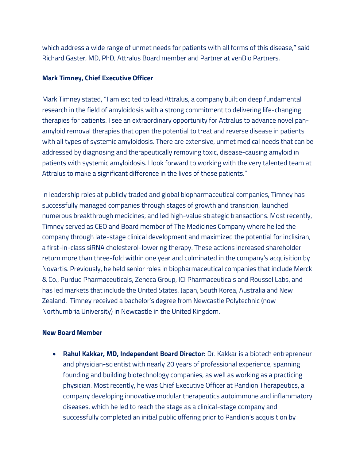which address a wide range of unmet needs for patients with all forms of this disease," said Richard Gaster, MD, PhD, Attralus Board member and Partner at venBio Partners.

## **Mark Timney, Chief Executive Officer**

Mark Timney stated, "I am excited to lead Attralus, a company built on deep fundamental research in the field of amyloidosis with a strong commitment to delivering life-changing therapies for patients. I see an extraordinary opportunity for Attralus to advance novel panamyloid removal therapies that open the potential to treat and reverse disease in patients with all types of systemic amyloidosis. There are extensive, unmet medical needs that can be addressed by diagnosing and therapeutically removing toxic, disease-causing amyloid in patients with systemic amyloidosis. I look forward to working with the very talented team at Attralus to make a significant difference in the lives of these patients."

In leadership roles at publicly traded and global biopharmaceutical companies, Timney has successfully managed companies through stages of growth and transition, launched numerous breakthrough medicines, and led high-value strategic transactions. Most recently, Timney served as CEO and Board member of The Medicines Company where he led the company through late-stage clinical development and maximized the potential for inclisiran, a first-in-class siRNA cholesterol-lowering therapy. These actions increased shareholder return more than three-fold within one year and culminated in the company's acquisition by Novartis. Previously, he held senior roles in biopharmaceutical companies that include Merck & Co., Purdue Pharmaceuticals, Zeneca Group, ICI Pharmaceuticals and Roussel Labs, and has led markets that include the United States, Japan, South Korea, Australia and New Zealand. Timney received a bachelor's degree from Newcastle Polytechnic (now Northumbria University) in Newcastle in the United Kingdom.

#### **New Board Member**

• **Rahul Kakkar, MD, Independent Board Director:** Dr. Kakkar is a biotech entrepreneur and physician-scientist with nearly 20 years of professional experience, spanning founding and building biotechnology companies, as well as working as a practicing physician. Most recently, he was Chief Executive Officer at Pandion Therapeutics, a company developing innovative modular therapeutics autoimmune and inflammatory diseases, which he led to reach the stage as a clinical-stage company and successfully completed an initial public offering prior to Pandion's acquisition by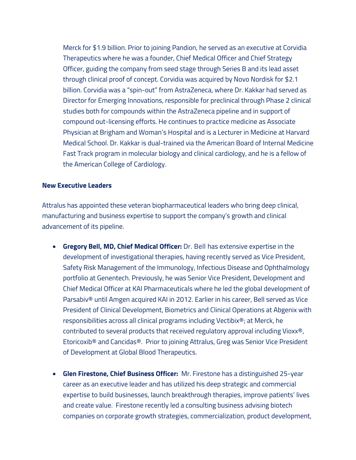Merck for \$1.9 billion. Prior to joining Pandion, he served as an executive at Corvidia Therapeutics where he was a founder, Chief Medical Officer and Chief Strategy Officer, guiding the company from seed stage through Series B and its lead asset through clinical proof of concept. Corvidia was acquired by Novo Nordisk for \$2.1 billion. Corvidia was a "spin-out" from AstraZeneca, where Dr. Kakkar had served as Director for Emerging Innovations, responsible for preclinical through Phase 2 clinical studies both for compounds within the AstraZeneca pipeline and in support of compound out-licensing efforts. He continues to practice medicine as Associate Physician at Brigham and Woman's Hospital and is a Lecturer in Medicine at Harvard Medical School. Dr. Kakkar is dual-trained via the American Board of Internal Medicine Fast Track program in molecular biology and clinical cardiology, and he is a fellow of the American College of Cardiology.

#### **New Executive Leaders**

Attralus has appointed these veteran biopharmaceutical leaders who bring deep clinical, manufacturing and business expertise to support the company's growth and clinical advancement of its pipeline.

- **Gregory Bell, MD, Chief Medical Officer:** Dr. Bell has extensive expertise in the development of investigational therapies, having recently served as Vice President, Safety Risk Management of the Immunology, Infectious Disease and Ophthalmology portfolio at Genentech. Previously, he was Senior Vice President, Development and Chief Medical Officer at KAI Pharmaceuticals where he led the global development of Parsabiv® until Amgen acquired KAI in 2012. Earlier in his career, Bell served as Vice President of Clinical Development, Biometrics and Clinical Operations at Abgenix with responsibilities across all clinical programs including Vectibix®; at Merck, he contributed to several products that received regulatory approval including Vioxx®, Etoricoxib® and Cancidas®. Prior to joining Attralus, Greg was Senior Vice President of Development at Global Blood Therapeutics.
- **Glen Firestone, Chief Business Officer:** Mr. Firestone has a distinguished 25-year career as an executive leader and has utilized his deep strategic and commercial expertise to build businesses, launch breakthrough therapies, improve patients' lives and create value. Firestone recently led a consulting business advising biotech companies on corporate growth strategies, commercialization, product development,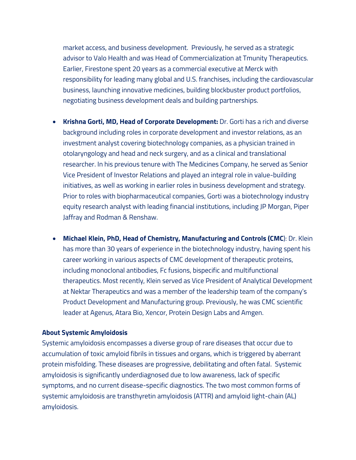market access, and business development. Previously, he served as a strategic advisor to Valo Health and was Head of Commercialization at Tmunity Therapeutics. Earlier, Firestone spent 20 years as a commercial executive at Merck with responsibility for leading many global and U.S. franchises, including the cardiovascular business, launching innovative medicines, building blockbuster product portfolios, negotiating business development deals and building partnerships.

- **Krishna Gorti, MD, Head of Corporate Development:** Dr. Gorti has a rich and diverse background including roles in corporate development and investor relations, as an investment analyst covering biotechnology companies, as a physician trained in otolaryngology and head and neck surgery, and as a clinical and translational researcher. In his previous tenure with The Medicines Company, he served as Senior Vice President of Investor Relations and played an integral role in value-building initiatives, as well as working in earlier roles in business development and strategy. Prior to roles with biopharmaceutical companies, Gorti was a biotechnology industry equity research analyst with leading financial institutions, including JP Morgan, Piper Jaffray and Rodman & Renshaw.
- **Michael Klein, PhD, Head of Chemistry, Manufacturing and Controls (CMC**): Dr. Klein has more than 30 years of experience in the biotechnology industry, having spent his career working in various aspects of CMC development of therapeutic proteins, including monoclonal antibodies, Fc fusions, bispecific and multifunctional therapeutics. Most recently, Klein served as Vice President of Analytical Development at Nektar Therapeutics and was a member of the leadership team of the company's Product Development and Manufacturing group. Previously, he was CMC scientific leader at Agenus, Atara Bio, Xencor, Protein Design Labs and Amgen.

#### **About Systemic Amyloidosis**

Systemic amyloidosis encompasses a diverse group of rare diseases that occur due to accumulation of toxic amyloid fibrils in tissues and organs, which is triggered by aberrant protein misfolding. These diseases are progressive, debilitating and often fatal. Systemic amyloidosis is significantly underdiagnosed due to low awareness, lack of specific symptoms, and no current disease-specific diagnostics. The two most common forms of systemic amyloidosis are transthyretin amyloidosis (ATTR) and amyloid light-chain (AL) amyloidosis.